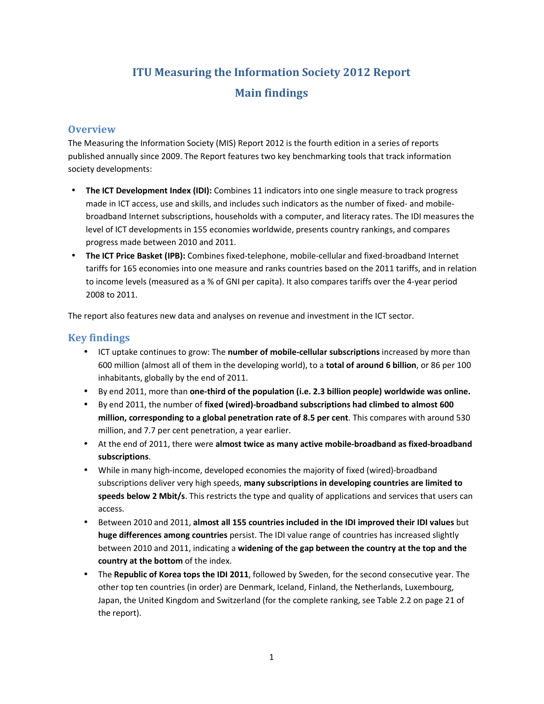## **ITU Measuring the Information Society 2012 Report Main findings**

## **Overview**

The Measuring the Information Society (MIS) Report 2012 is the fourth edition in a series of reports published annually since 2009. The Report features two key benchmarking tools that track information society developments:

- **The ICT Development Index (IDI):** Combines 11 indicators into one single measure to track progress made in ICT access, use and skills, and includes such indicators as the number of fixed- and mobilebroadband Internet subscriptions, households with a computer, and literacy rates. The IDI measures the level of ICT developments in 155 economies worldwide, presents country rankings, and compares progress made between 2010 and 2011.
- **The ICT Price Basket (IPB):** Combines fixed-telephone, mobile-cellular and fixed-broadband Internet tariffs for 165 economies into one measure and ranks countries based on the 2011 tariffs, and in relation to income levels (measured as a % of GNI per capita). It also compares tariffs over the 4-year period 2008 to 2011.

The report also features new data and analyses on revenue and investment in the ICT sector.

## **Key findings**

- ICT uptake continues to grow: The **number of mobile-cellular subscriptions** increased by more than 600 million (almost all of them in the developing world), to a **total of around 6 billion**, or 86 per 100 inhabitants, globally by the end of 2011.
- By end 2011, more than **one-third of the population (i.e. 2.3 billion people) worldwide was online.**
- By end 2011, the number of **fixed (wired)-broadband subscriptions had climbed to almost 600 million, corresponding to a global penetration rate of 8.5 per cent**. This compares with around 530 million, and 7.7 per cent penetration, a year earlier.
- At the end of 2011, there were **almost twice as many active mobile-broadband as fixed-broadband subscriptions**.
- While in many high-income, developed economies the majority of fixed (wired)-broadband subscriptions deliver very high speeds, **many subscriptions in developing countries are limited to speeds below 2 Mbit/s**. This restricts the type and quality of applications and services that users can access.
- Between 2010 and 2011, **almost all 155 countries included in the IDI improved their IDI values** but **huge differences among countries** persist. The IDI value range of countries has increased slightly between 2010 and 2011, indicating a **widening of the gap between the country at the top and the country at the bottom** of the index.
- The **Republic of Korea tops the IDI 2011**, followed by Sweden, for the second consecutive year. The other top ten countries (in order) are Denmark, Iceland, Finland, the Netherlands, Luxembourg, Japan, the United Kingdom and Switzerland (for the complete ranking, see Table 2.2 on page 21 of the report).